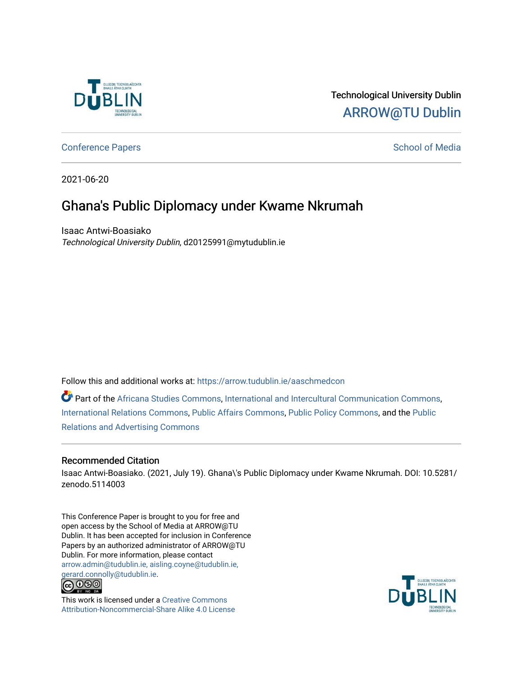

### Technological University Dublin [ARROW@TU Dublin](https://arrow.tudublin.ie/)

[Conference Papers](https://arrow.tudublin.ie/aaschmedcon) **School of Media** 

2021-06-20

## Ghana's Public Diplomacy under Kwame Nkrumah

Isaac Antwi-Boasiako Technological University Dublin, d20125991@mytudublin.ie

Follow this and additional works at: [https://arrow.tudublin.ie/aaschmedcon](https://arrow.tudublin.ie/aaschmedcon?utm_source=arrow.tudublin.ie%2Faaschmedcon%2F52&utm_medium=PDF&utm_campaign=PDFCoverPages) 

Part of the [Africana Studies Commons,](http://network.bepress.com/hgg/discipline/1418?utm_source=arrow.tudublin.ie%2Faaschmedcon%2F52&utm_medium=PDF&utm_campaign=PDFCoverPages) [International and Intercultural Communication Commons,](http://network.bepress.com/hgg/discipline/331?utm_source=arrow.tudublin.ie%2Faaschmedcon%2F52&utm_medium=PDF&utm_campaign=PDFCoverPages) [International Relations Commons](http://network.bepress.com/hgg/discipline/389?utm_source=arrow.tudublin.ie%2Faaschmedcon%2F52&utm_medium=PDF&utm_campaign=PDFCoverPages), [Public Affairs Commons](http://network.bepress.com/hgg/discipline/399?utm_source=arrow.tudublin.ie%2Faaschmedcon%2F52&utm_medium=PDF&utm_campaign=PDFCoverPages), [Public Policy Commons](http://network.bepress.com/hgg/discipline/400?utm_source=arrow.tudublin.ie%2Faaschmedcon%2F52&utm_medium=PDF&utm_campaign=PDFCoverPages), and the [Public](http://network.bepress.com/hgg/discipline/336?utm_source=arrow.tudublin.ie%2Faaschmedcon%2F52&utm_medium=PDF&utm_campaign=PDFCoverPages)  [Relations and Advertising Commons](http://network.bepress.com/hgg/discipline/336?utm_source=arrow.tudublin.ie%2Faaschmedcon%2F52&utm_medium=PDF&utm_campaign=PDFCoverPages) 

### Recommended Citation

Isaac Antwi-Boasiako. (2021, July 19). Ghana\'s Public Diplomacy under Kwame Nkrumah. DOI: 10.5281/ zenodo.5114003

This Conference Paper is brought to you for free and open access by the School of Media at ARROW@TU Dublin. It has been accepted for inclusion in Conference Papers by an authorized administrator of ARROW@TU Dublin. For more information, please contact [arrow.admin@tudublin.ie, aisling.coyne@tudublin.ie,](mailto:arrow.admin@tudublin.ie,%20aisling.coyne@tudublin.ie,%20gerard.connolly@tudublin.ie)  [gerard.connolly@tudublin.ie](mailto:arrow.admin@tudublin.ie,%20aisling.coyne@tudublin.ie,%20gerard.connolly@tudublin.ie).



This work is licensed under a [Creative Commons](http://creativecommons.org/licenses/by-nc-sa/4.0/) [Attribution-Noncommercial-Share Alike 4.0 License](http://creativecommons.org/licenses/by-nc-sa/4.0/)

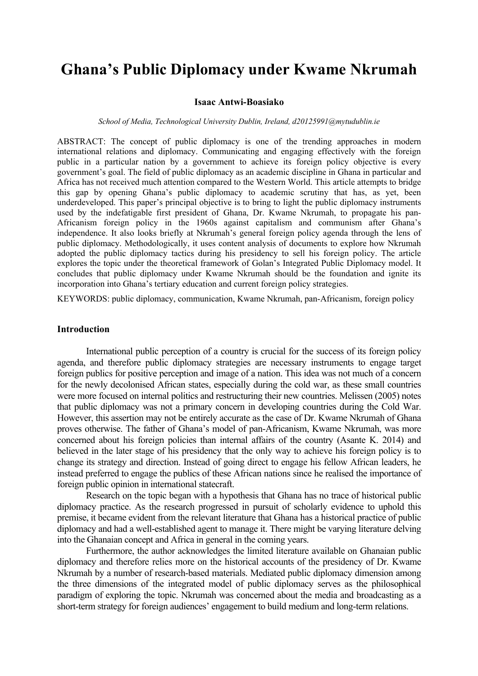# **Ghana's Public Diplomacy under Kwame Nkrumah**

#### **Isaac Antwi-Boasiako**

#### *School of Media, Technological University Dublin, Ireland, d20125991@mytudublin.ie*

ABSTRACT: The concept of public diplomacy is one of the trending approaches in modern international relations and diplomacy. Communicating and engaging effectively with the foreign public in a particular nation by a government to achieve its foreign policy objective is every government's goal. The field of public diplomacy as an academic discipline in Ghana in particular and Africa has not received much attention compared to the Western World. This article attempts to bridge this gap by opening Ghana's public diplomacy to academic scrutiny that has, as yet, been underdeveloped. This paper's principal objective is to bring to light the public diplomacy instruments used by the indefatigable first president of Ghana, Dr. Kwame Nkrumah, to propagate his pan-Africanism foreign policy in the 1960s against capitalism and communism after Ghana's independence. It also looks briefly at Nkrumah's general foreign policy agenda through the lens of public diplomacy. Methodologically, it uses content analysis of documents to explore how Nkrumah adopted the public diplomacy tactics during his presidency to sell his foreign policy. The article explores the topic under the theoretical framework of Golan's Integrated Public Diplomacy model. It concludes that public diplomacy under Kwame Nkrumah should be the foundation and ignite its incorporation into Ghana's tertiary education and current foreign policy strategies.

KEYWORDS: public diplomacy, communication, Kwame Nkrumah, pan-Africanism, foreign policy

#### **Introduction**

International public perception of a country is crucial for the success of its foreign policy agenda, and therefore public diplomacy strategies are necessary instruments to engage target foreign publics for positive perception and image of a nation. This idea was not much of a concern for the newly decolonised African states, especially during the cold war, as these small countries were more focused on internal politics and restructuring their new countries. Melissen (2005) notes that public diplomacy was not a primary concern in developing countries during the Cold War. However, this assertion may not be entirely accurate as the case of Dr. Kwame Nkrumah of Ghana proves otherwise. The father of Ghana's model of pan-Africanism, Kwame Nkrumah, was more concerned about his foreign policies than internal affairs of the country (Asante K. 2014) and believed in the later stage of his presidency that the only way to achieve his foreign policy is to change its strategy and direction. Instead of going direct to engage his fellow African leaders, he instead preferred to engage the publics of these African nations since he realised the importance of foreign public opinion in international statecraft.

Research on the topic began with a hypothesis that Ghana has no trace of historical public diplomacy practice. As the research progressed in pursuit of scholarly evidence to uphold this premise, it became evident from the relevant literature that Ghana has a historical practice of public diplomacy and had a well-established agent to manage it. There might be varying literature delving into the Ghanaian concept and Africa in general in the coming years.

Furthermore, the author acknowledges the limited literature available on Ghanaian public diplomacy and therefore relies more on the historical accounts of the presidency of Dr. Kwame Nkrumah by a number of research-based materials. Mediated public diplomacy dimension among the three dimensions of the integrated model of public diplomacy serves as the philosophical paradigm of exploring the topic. Nkrumah was concerned about the media and broadcasting as a short-term strategy for foreign audiences' engagement to build medium and long-term relations.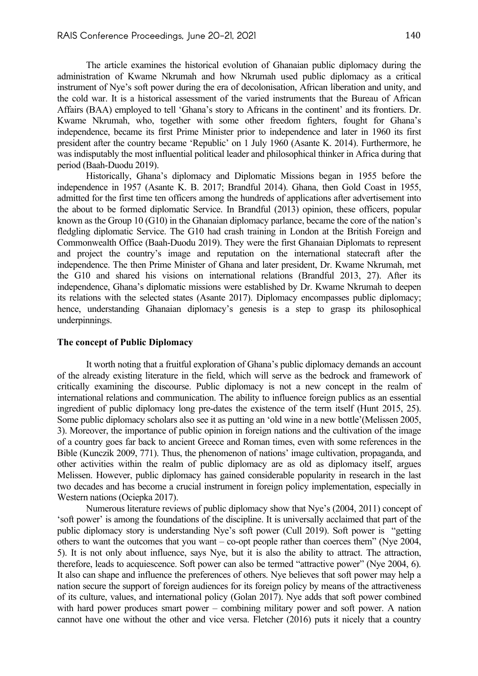The article examines the historical evolution of Ghanaian public diplomacy during the administration of Kwame Nkrumah and how Nkrumah used public diplomacy as a critical instrument of Nye's soft power during the era of decolonisation, African liberation and unity, and the cold war. It is a historical assessment of the varied instruments that the Bureau of African Affairs (BAA) employed to tell 'Ghana's story to Africans in the continent' and its frontiers. Dr. Kwame Nkrumah, who, together with some other freedom fighters, fought for Ghana's independence, became its first Prime Minister prior to independence and later in 1960 its first president after the country became 'Republic' on 1 July 1960 (Asante K. 2014). Furthermore, he was indisputably the most influential political leader and philosophical thinker in Africa during that period (Baah-Duodu 2019).

Historically, Ghana's diplomacy and Diplomatic Missions began in 1955 before the independence in 1957 (Asante K. B. 2017; Brandful 2014). Ghana, then Gold Coast in 1955, admitted for the first time ten officers among the hundreds of applications after advertisement into the about to be formed diplomatic Service. In Brandful (2013) opinion, these officers, popular known as the Group 10 (G10) in the Ghanaian diplomacy parlance, became the core of the nation's fledgling diplomatic Service. The G10 had crash training in London at the British Foreign and Commonwealth Office (Baah-Duodu 2019). They were the first Ghanaian Diplomats to represent and project the country's image and reputation on the international statecraft after the independence. The then Prime Minister of Ghana and later president, Dr. Kwame Nkrumah, met the G10 and shared his visions on international relations (Brandful 2013, 27). After its independence, Ghana's diplomatic missions were established by Dr. Kwame Nkrumah to deepen its relations with the selected states (Asante 2017). Diplomacy encompasses public diplomacy; hence, understanding Ghanaian diplomacy's genesis is a step to grasp its philosophical underpinnings.

#### **The concept of Public Diplomacy**

It worth noting that a fruitful exploration of Ghana's public diplomacy demands an account of the already existing literature in the field, which will serve as the bedrock and framework of critically examining the discourse. Public diplomacy is not a new concept in the realm of international relations and communication. The ability to influence foreign publics as an essential ingredient of public diplomacy long pre-dates the existence of the term itself (Hunt 2015, 25). Some public diplomacy scholars also see it as putting an 'old wine in a new bottle'(Melissen 2005, 3). Moreover, the importance of public opinion in foreign nations and the cultivation of the image of a country goes far back to ancient Greece and Roman times, even with some references in the Bible (Kunczik 2009, 771). Thus, the phenomenon of nations' image cultivation, propaganda, and other activities within the realm of public diplomacy are as old as diplomacy itself, argues Melissen. However, public diplomacy has gained considerable popularity in research in the last two decades and has become a crucial instrument in foreign policy implementation, especially in Western nations (Ociepka 2017).

Numerous literature reviews of public diplomacy show that Nye's (2004, 2011) concept of 'soft power' is among the foundations of the discipline. It is universally acclaimed that part of the public diplomacy story is understanding Nye's soft power (Cull 2019). Soft power is "getting others to want the outcomes that you want – co-opt people rather than coerces them" (Nye 2004, 5). It is not only about influence, says Nye, but it is also the ability to attract. The attraction, therefore, leads to acquiescence. Soft power can also be termed "attractive power" (Nye 2004, 6). It also can shape and influence the preferences of others. Nye believes that soft power may help a nation secure the support of foreign audiences for its foreign policy by means of the attractiveness of its culture, values, and international policy (Golan 2017). Nye adds that soft power combined with hard power produces smart power – combining military power and soft power. A nation cannot have one without the other and vice versa. Fletcher (2016) puts it nicely that a country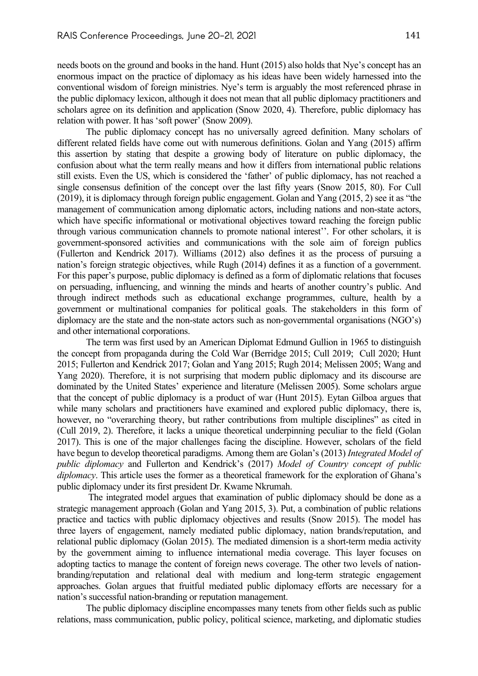needs boots on the ground and books in the hand. Hunt (2015) also holds that Nye's concept has an enormous impact on the practice of diplomacy as his ideas have been widely harnessed into the conventional wisdom of foreign ministries. Nye's term is arguably the most referenced phrase in the public diplomacy lexicon, although it does not mean that all public diplomacy practitioners and scholars agree on its definition and application (Snow 2020, 4). Therefore, public diplomacy has relation with power. It has 'soft power' (Snow 2009).

The public diplomacy concept has no universally agreed definition. Many scholars of different related fields have come out with numerous definitions. Golan and Yang (2015) affirm this assertion by stating that despite a growing body of literature on public diplomacy, the confusion about what the term really means and how it differs from international public relations still exists. Even the US, which is considered the 'father' of public diplomacy, has not reached a single consensus definition of the concept over the last fifty years (Snow 2015, 80). For Cull (2019), it is diplomacy through foreign public engagement. Golan and Yang (2015, 2) see it as "the management of communication among diplomatic actors, including nations and non-state actors, which have specific informational or motivational objectives toward reaching the foreign public through various communication channels to promote national interest''. For other scholars, it is government-sponsored activities and communications with the sole aim of foreign publics (Fullerton and Kendrick 2017). Williams (2012) also defines it as the process of pursuing a nation's foreign strategic objectives, while Rugh (2014) defines it as a function of a government. For this paper's purpose, public diplomacy is defined as a form of diplomatic relations that focuses on persuading, influencing, and winning the minds and hearts of another country's public. And through indirect methods such as educational exchange programmes, culture, health by a government or multinational companies for political goals. The stakeholders in this form of diplomacy are the state and the non-state actors such as non-governmental organisations (NGO's) and other international corporations.

The term was first used by an American Diplomat Edmund Gullion in 1965 to distinguish the concept from propaganda during the Cold War (Berridge 2015; Cull 2019; Cull 2020; Hunt 2015; Fullerton and Kendrick 2017; Golan and Yang 2015; Rugh 2014; Melissen 2005; Wang and Yang 2020). Therefore, it is not surprising that modern public diplomacy and its discourse are dominated by the United States' experience and literature (Melissen 2005). Some scholars argue that the concept of public diplomacy is a product of war (Hunt 2015). Eytan Gilboa argues that while many scholars and practitioners have examined and explored public diplomacy, there is, however, no "overarching theory, but rather contributions from multiple disciplines" as cited in (Cull 2019, 2). Therefore, it lacks a unique theoretical underpinning peculiar to the field (Golan 2017). This is one of the major challenges facing the discipline. However, scholars of the field have begun to develop theoretical paradigms. Among them are Golan's (2013) *Integrated Model of public diplomacy* and Fullerton and Kendrick's (2017) *Model of Country concept of public diplomacy*. This article uses the former as a theoretical framework for the exploration of Ghana's public diplomacy under its first president Dr. Kwame Nkrumah.

The integrated model argues that examination of public diplomacy should be done as a strategic management approach (Golan and Yang 2015, 3). Put, a combination of public relations practice and tactics with public diplomacy objectives and results (Snow 2015). The model has three layers of engagement, namely mediated public diplomacy, nation brands/reputation, and relational public diplomacy (Golan 2015). The mediated dimension is a short-term media activity by the government aiming to influence international media coverage. This layer focuses on adopting tactics to manage the content of foreign news coverage. The other two levels of nationbranding/reputation and relational deal with medium and long-term strategic engagement approaches. Golan argues that fruitful mediated public diplomacy efforts are necessary for a nation's successful nation-branding or reputation management.

The public diplomacy discipline encompasses many tenets from other fields such as public relations, mass communication, public policy, political science, marketing, and diplomatic studies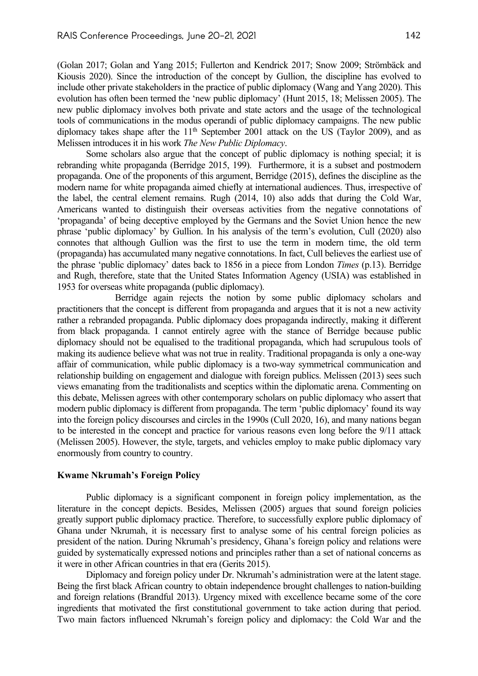(Golan 2017; Golan and Yang 2015; Fullerton and Kendrick 2017; Snow 2009; Strömbäck and Kiousis 2020). Since the introduction of the concept by Gullion, the discipline has evolved to include other private stakeholders in the practice of public diplomacy (Wang and Yang 2020). This evolution has often been termed the 'new public diplomacy' (Hunt 2015, 18; Melissen 2005). The new public diplomacy involves both private and state actors and the usage of the technological tools of communications in the modus operandi of public diplomacy campaigns. The new public diplomacy takes shape after the  $11<sup>th</sup>$  September 2001 attack on the US (Taylor 2009), and as Melissen introduces it in his work *The New Public Diplomacy*.

Some scholars also argue that the concept of public diplomacy is nothing special; it is rebranding white propaganda (Berridge 2015, 199). Furthermore, it is a subset and postmodern propaganda. One of the proponents of this argument, Berridge (2015), defines the discipline as the modern name for white propaganda aimed chiefly at international audiences. Thus, irrespective of the label, the central element remains. Rugh (2014, 10) also adds that during the Cold War, Americans wanted to distinguish their overseas activities from the negative connotations of 'propaganda' of being deceptive employed by the Germans and the Soviet Union hence the new phrase 'public diplomacy' by Gullion. In his analysis of the term's evolution, Cull (2020) also connotes that although Gullion was the first to use the term in modern time, the old term (propaganda) has accumulated many negative connotations. In fact, Cull believes the earliest use of the phrase 'public diplomacy' dates back to 1856 in a piece from London *Times* (p.13). Berridge and Rugh, therefore, state that the United States Information Agency (USIA) was established in 1953 for overseas white propaganda (public diplomacy).

 Berridge again rejects the notion by some public diplomacy scholars and practitioners that the concept is different from propaganda and argues that it is not a new activity rather a rebranded propaganda. Public diplomacy does propaganda indirectly, making it different from black propaganda. I cannot entirely agree with the stance of Berridge because public diplomacy should not be equalised to the traditional propaganda, which had scrupulous tools of making its audience believe what was not true in reality. Traditional propaganda is only a one-way affair of communication, while public diplomacy is a two-way symmetrical communication and relationship building on engagement and dialogue with foreign publics. Melissen (2013) sees such views emanating from the traditionalists and sceptics within the diplomatic arena. Commenting on this debate, Melissen agrees with other contemporary scholars on public diplomacy who assert that modern public diplomacy is different from propaganda. The term 'public diplomacy' found its way into the foreign policy discourses and circles in the 1990s (Cull 2020, 16), and many nations began to be interested in the concept and practice for various reasons even long before the 9/11 attack (Melissen 2005). However, the style, targets, and vehicles employ to make public diplomacy vary enormously from country to country.

#### **Kwame Nkrumah's Foreign Policy**

Public diplomacy is a significant component in foreign policy implementation, as the literature in the concept depicts. Besides, Melissen (2005) argues that sound foreign policies greatly support public diplomacy practice. Therefore, to successfully explore public diplomacy of Ghana under Nkrumah, it is necessary first to analyse some of his central foreign policies as president of the nation. During Nkrumah's presidency, Ghana's foreign policy and relations were guided by systematically expressed notions and principles rather than a set of national concerns as it were in other African countries in that era (Gerits 2015).

Diplomacy and foreign policy under Dr. Nkrumah's administration were at the latent stage. Being the first black African country to obtain independence brought challenges to nation-building and foreign relations (Brandful 2013). Urgency mixed with excellence became some of the core ingredients that motivated the first constitutional government to take action during that period. Two main factors influenced Nkrumah's foreign policy and diplomacy: the Cold War and the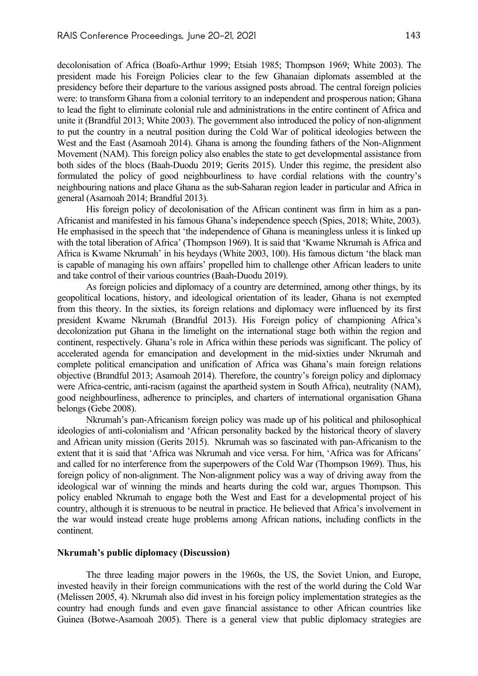decolonisation of Africa (Boafo-Arthur 1999; Etsiah 1985; Thompson 1969; White 2003). The president made his Foreign Policies clear to the few Ghanaian diplomats assembled at the presidency before their departure to the various assigned posts abroad. The central foreign policies were: to transform Ghana from a colonial territory to an independent and prosperous nation; Ghana to lead the fight to eliminate colonial rule and administrations in the entire continent of Africa and unite it (Brandful 2013; White 2003). The government also introduced the policy of non-alignment to put the country in a neutral position during the Cold War of political ideologies between the West and the East (Asamoah 2014). Ghana is among the founding fathers of the Non-Alignment Movement (NAM). This foreign policy also enables the state to get developmental assistance from both sides of the blocs (Baah-Duodu 2019; Gerits 2015). Under this regime, the president also formulated the policy of good neighbourliness to have cordial relations with the country's neighbouring nations and place Ghana as the sub-Saharan region leader in particular and Africa in general (Asamoah 2014; Brandful 2013).

His foreign policy of decolonisation of the African continent was firm in him as a pan-Africanist and manifested in his famous Ghana's independence speech (Spies, 2018; White, 2003). He emphasised in the speech that 'the independence of Ghana is meaningless unless it is linked up with the total liberation of Africa' (Thompson 1969). It is said that 'Kwame Nkrumah is Africa and Africa is Kwame Nkrumah' in his heydays (White 2003, 100). His famous dictum 'the black man is capable of managing his own affairs' propelled him to challenge other African leaders to unite and take control of their various countries (Baah-Duodu 2019).

As foreign policies and diplomacy of a country are determined, among other things, by its geopolitical locations, history, and ideological orientation of its leader, Ghana is not exempted from this theory. In the sixties, its foreign relations and diplomacy were influenced by its first president Kwame Nkrumah (Brandful 2013). His Foreign policy of championing Africa's decolonization put Ghana in the limelight on the international stage both within the region and continent, respectively. Ghana's role in Africa within these periods was significant. The policy of accelerated agenda for emancipation and development in the mid-sixties under Nkrumah and complete political emancipation and unification of Africa was Ghana's main foreign relations objective (Brandful 2013; Asamoah 2014). Therefore, the country's foreign policy and diplomacy were Africa-centric, anti-racism (against the apartheid system in South Africa), neutrality (NAM), good neighbourliness, adherence to principles, and charters of international organisation Ghana belongs (Gebe 2008).

Nkrumah's pan-Africanism foreign policy was made up of his political and philosophical ideologies of anti-colonialism and 'African personality backed by the historical theory of slavery and African unity mission (Gerits 2015). Nkrumah was so fascinated with pan-Africanism to the extent that it is said that 'Africa was Nkrumah and vice versa. For him, 'Africa was for Africans' and called for no interference from the superpowers of the Cold War (Thompson 1969). Thus, his foreign policy of non-alignment. The Non-alignment policy was a way of driving away from the ideological war of winning the minds and hearts during the cold war, argues Thompson. This policy enabled Nkrumah to engage both the West and East for a developmental project of his country, although it is strenuous to be neutral in practice. He believed that Africa's involvement in the war would instead create huge problems among African nations, including conflicts in the continent.

#### **Nkrumah's public diplomacy (Discussion)**

The three leading major powers in the 1960s, the US, the Soviet Union, and Europe, invested heavily in their foreign communications with the rest of the world during the Cold War (Melissen 2005, 4). Nkrumah also did invest in his foreign policy implementation strategies as the country had enough funds and even gave financial assistance to other African countries like Guinea (Botwe-Asamoah 2005). There is a general view that public diplomacy strategies are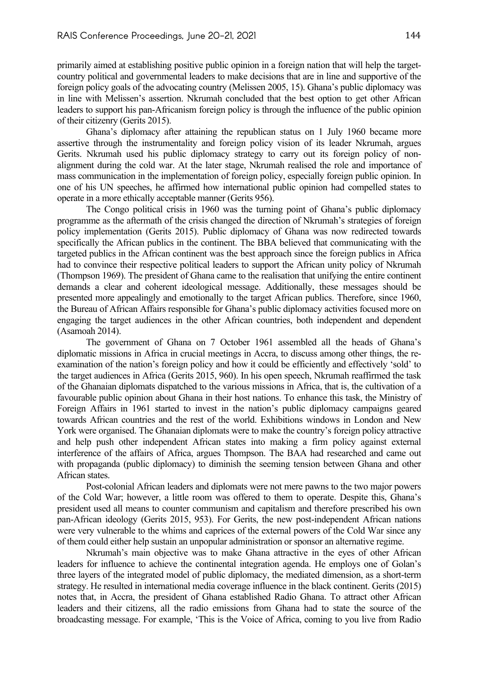primarily aimed at establishing positive public opinion in a foreign nation that will help the targetcountry political and governmental leaders to make decisions that are in line and supportive of the foreign policy goals of the advocating country (Melissen 2005, 15). Ghana's public diplomacy was in line with Melissen's assertion. Nkrumah concluded that the best option to get other African leaders to support his pan-Africanism foreign policy is through the influence of the public opinion of their citizenry (Gerits 2015).

Ghana's diplomacy after attaining the republican status on 1 July 1960 became more assertive through the instrumentality and foreign policy vision of its leader Nkrumah, argues Gerits. Nkrumah used his public diplomacy strategy to carry out its foreign policy of nonalignment during the cold war. At the later stage, Nkrumah realised the role and importance of mass communication in the implementation of foreign policy, especially foreign public opinion. In one of his UN speeches, he affirmed how international public opinion had compelled states to operate in a more ethically acceptable manner (Gerits 956).

The Congo political crisis in 1960 was the turning point of Ghana's public diplomacy programme as the aftermath of the crisis changed the direction of Nkrumah's strategies of foreign policy implementation (Gerits 2015). Public diplomacy of Ghana was now redirected towards specifically the African publics in the continent. The BBA believed that communicating with the targeted publics in the African continent was the best approach since the foreign publics in Africa had to convince their respective political leaders to support the African unity policy of Nkrumah (Thompson 1969). The president of Ghana came to the realisation that unifying the entire continent demands a clear and coherent ideological message. Additionally, these messages should be presented more appealingly and emotionally to the target African publics. Therefore, since 1960, the Bureau of African Affairs responsible for Ghana's public diplomacy activities focused more on engaging the target audiences in the other African countries, both independent and dependent (Asamoah 2014).

The government of Ghana on 7 October 1961 assembled all the heads of Ghana's diplomatic missions in Africa in crucial meetings in Accra, to discuss among other things, the reexamination of the nation's foreign policy and how it could be efficiently and effectively 'sold' to the target audiences in Africa (Gerits 2015, 960). In his open speech, Nkrumah reaffirmed the task of the Ghanaian diplomats dispatched to the various missions in Africa, that is, the cultivation of a favourable public opinion about Ghana in their host nations. To enhance this task, the Ministry of Foreign Affairs in 1961 started to invest in the nation's public diplomacy campaigns geared towards African countries and the rest of the world. Exhibitions windows in London and New York were organised. The Ghanaian diplomats were to make the country's foreign policy attractive and help push other independent African states into making a firm policy against external interference of the affairs of Africa, argues Thompson. The BAA had researched and came out with propaganda (public diplomacy) to diminish the seeming tension between Ghana and other African states.

Post-colonial African leaders and diplomats were not mere pawns to the two major powers of the Cold War; however, a little room was offered to them to operate. Despite this, Ghana's president used all means to counter communism and capitalism and therefore prescribed his own pan-African ideology (Gerits 2015, 953). For Gerits, the new post-independent African nations were very vulnerable to the whims and caprices of the external powers of the Cold War since any of them could either help sustain an unpopular administration or sponsor an alternative regime.

Nkrumah's main objective was to make Ghana attractive in the eyes of other African leaders for influence to achieve the continental integration agenda. He employs one of Golan's three layers of the integrated model of public diplomacy, the mediated dimension, as a short-term strategy. He resulted in international media coverage influence in the black continent. Gerits (2015) notes that, in Accra, the president of Ghana established Radio Ghana. To attract other African leaders and their citizens, all the radio emissions from Ghana had to state the source of the broadcasting message. For example, 'This is the Voice of Africa, coming to you live from Radio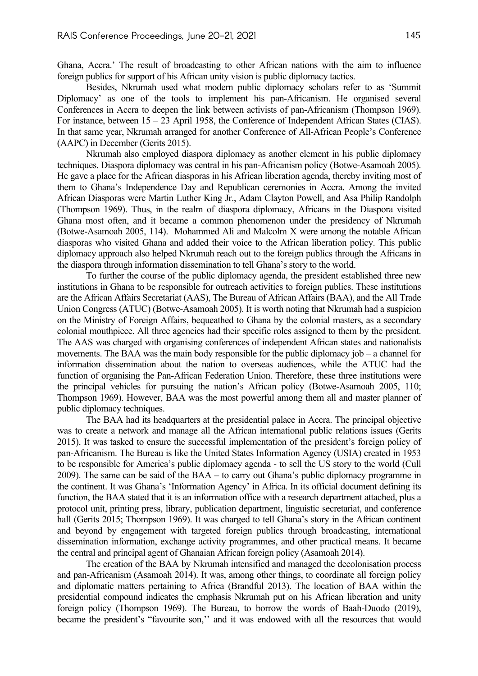Ghana, Accra.' The result of broadcasting to other African nations with the aim to influence foreign publics for support of his African unity vision is public diplomacy tactics.

Besides, Nkrumah used what modern public diplomacy scholars refer to as 'Summit Diplomacy' as one of the tools to implement his pan-Africanism. He organised several Conferences in Accra to deepen the link between activists of pan-Africanism (Thompson 1969). For instance, between 15 – 23 April 1958, the Conference of Independent African States (CIAS). In that same year, Nkrumah arranged for another Conference of All-African People's Conference (AAPC) in December (Gerits 2015).

Nkrumah also employed diaspora diplomacy as another element in his public diplomacy techniques. Diaspora diplomacy was central in his pan-Africanism policy (Botwe-Asamoah 2005). He gave a place for the African diasporas in his African liberation agenda, thereby inviting most of them to Ghana's Independence Day and Republican ceremonies in Accra. Among the invited African Diasporas were Martin Luther King Jr., Adam Clayton Powell, and Asa Philip Randolph (Thompson 1969). Thus, in the realm of diaspora diplomacy, Africans in the Diaspora visited Ghana most often, and it became a common phenomenon under the presidency of Nkrumah (Botwe-Asamoah 2005, 114). Mohammed Ali and Malcolm X were among the notable African diasporas who visited Ghana and added their voice to the African liberation policy. This public diplomacy approach also helped Nkrumah reach out to the foreign publics through the Africans in the diaspora through information dissemination to tell Ghana's story to the world.

To further the course of the public diplomacy agenda, the president established three new institutions in Ghana to be responsible for outreach activities to foreign publics. These institutions are the African Affairs Secretariat (AAS), The Bureau of African Affairs (BAA), and the All Trade Union Congress (ATUC) (Botwe-Asamoah 2005). It is worth noting that Nkrumah had a suspicion on the Ministry of Foreign Affairs, bequeathed to Ghana by the colonial masters, as a secondary colonial mouthpiece. All three agencies had their specific roles assigned to them by the president. The AAS was charged with organising conferences of independent African states and nationalists movements. The BAA was the main body responsible for the public diplomacy job – a channel for information dissemination about the nation to overseas audiences, while the ATUC had the function of organising the Pan-African Federation Union. Therefore, these three institutions were the principal vehicles for pursuing the nation's African policy (Botwe-Asamoah 2005, 110; Thompson 1969). However, BAA was the most powerful among them all and master planner of public diplomacy techniques.

The BAA had its headquarters at the presidential palace in Accra. The principal objective was to create a network and manage all the African international public relations issues (Gerits 2015). It was tasked to ensure the successful implementation of the president's foreign policy of pan-Africanism. The Bureau is like the United States Information Agency (USIA) created in 1953 to be responsible for America's public diplomacy agenda - to sell the US story to the world (Cull 2009). The same can be said of the BAA – to carry out Ghana's public diplomacy programme in the continent. It was Ghana's 'Information Agency' in Africa. In its official document defining its function, the BAA stated that it is an information office with a research department attached, plus a protocol unit, printing press, library, publication department, linguistic secretariat, and conference hall (Gerits 2015; Thompson 1969). It was charged to tell Ghana's story in the African continent and beyond by engagement with targeted foreign publics through broadcasting, international dissemination information, exchange activity programmes, and other practical means. It became the central and principal agent of Ghanaian African foreign policy (Asamoah 2014).

The creation of the BAA by Nkrumah intensified and managed the decolonisation process and pan-Africanism (Asamoah 2014). It was, among other things, to coordinate all foreign policy and diplomatic matters pertaining to Africa (Brandful 2013). The location of BAA within the presidential compound indicates the emphasis Nkrumah put on his African liberation and unity foreign policy (Thompson 1969). The Bureau, to borrow the words of Baah-Duodo (2019), became the president's "favourite son,'' and it was endowed with all the resources that would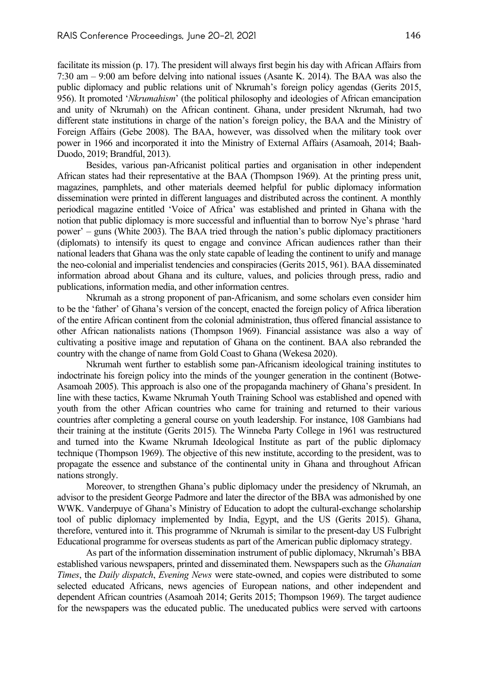facilitate its mission (p. 17). The president will always first begin his day with African Affairs from 7:30 am – 9:00 am before delving into national issues (Asante K. 2014). The BAA was also the public diplomacy and public relations unit of Nkrumah's foreign policy agendas (Gerits 2015, 956). It promoted '*Nkrumahism*' (the political philosophy and ideologies of African emancipation and unity of Nkrumah) on the African continent. Ghana, under president Nkrumah, had two different state institutions in charge of the nation's foreign policy, the BAA and the Ministry of Foreign Affairs (Gebe 2008). The BAA, however, was dissolved when the military took over power in 1966 and incorporated it into the Ministry of External Affairs (Asamoah, 2014; Baah-Duodo, 2019; Brandful, 2013).

Besides, various pan-Africanist political parties and organisation in other independent African states had their representative at the BAA (Thompson 1969). At the printing press unit, magazines, pamphlets, and other materials deemed helpful for public diplomacy information dissemination were printed in different languages and distributed across the continent. A monthly periodical magazine entitled 'Voice of Africa' was established and printed in Ghana with the notion that public diplomacy is more successful and influential than to borrow Nye's phrase 'hard power' – guns (White 2003). The BAA tried through the nation's public diplomacy practitioners (diplomats) to intensify its quest to engage and convince African audiences rather than their national leaders that Ghana was the only state capable of leading the continent to unify and manage the neo-colonial and imperialist tendencies and conspiracies (Gerits 2015, 961). BAA disseminated information abroad about Ghana and its culture, values, and policies through press, radio and publications, information media, and other information centres.

Nkrumah as a strong proponent of pan-Africanism, and some scholars even consider him to be the 'father' of Ghana's version of the concept, enacted the foreign policy of Africa liberation of the entire African continent from the colonial administration, thus offered financial assistance to other African nationalists nations (Thompson 1969). Financial assistance was also a way of cultivating a positive image and reputation of Ghana on the continent. BAA also rebranded the country with the change of name from Gold Coast to Ghana (Wekesa 2020).

Nkrumah went further to establish some pan-Africanism ideological training institutes to indoctrinate his foreign policy into the minds of the younger generation in the continent (Botwe-Asamoah 2005). This approach is also one of the propaganda machinery of Ghana's president. In line with these tactics, Kwame Nkrumah Youth Training School was established and opened with youth from the other African countries who came for training and returned to their various countries after completing a general course on youth leadership. For instance, 108 Gambians had their training at the institute (Gerits 2015). The Winneba Party College in 1961 was restructured and turned into the Kwame Nkrumah Ideological Institute as part of the public diplomacy technique (Thompson 1969). The objective of this new institute, according to the president, was to propagate the essence and substance of the continental unity in Ghana and throughout African nations strongly.

Moreover, to strengthen Ghana's public diplomacy under the presidency of Nkrumah, an advisor to the president George Padmore and later the director of the BBA was admonished by one WWK. Vanderpuye of Ghana's Ministry of Education to adopt the cultural-exchange scholarship tool of public diplomacy implemented by India, Egypt, and the US (Gerits 2015). Ghana, therefore, ventured into it. This programme of Nkrumah is similar to the present-day US Fulbright Educational programme for overseas students as part of the American public diplomacy strategy.

As part of the information dissemination instrument of public diplomacy, Nkrumah's BBA established various newspapers, printed and disseminated them. Newspapers such as the *Ghanaian Times*, the *Daily dispatch*, *Evening News* were state-owned, and copies were distributed to some selected educated Africans, news agencies of European nations, and other independent and dependent African countries (Asamoah 2014; Gerits 2015; Thompson 1969). The target audience for the newspapers was the educated public. The uneducated publics were served with cartoons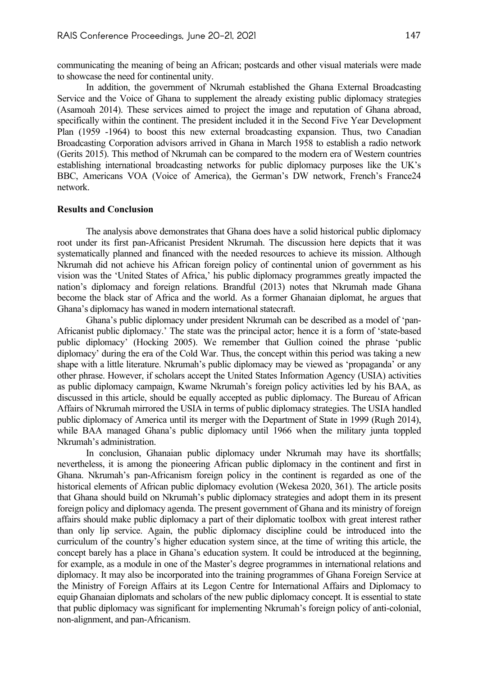communicating the meaning of being an African; postcards and other visual materials were made to showcase the need for continental unity.

In addition, the government of Nkrumah established the Ghana External Broadcasting Service and the Voice of Ghana to supplement the already existing public diplomacy strategies (Asamoah 2014). These services aimed to project the image and reputation of Ghana abroad, specifically within the continent. The president included it in the Second Five Year Development Plan (1959 -1964) to boost this new external broadcasting expansion. Thus, two Canadian Broadcasting Corporation advisors arrived in Ghana in March 1958 to establish a radio network (Gerits 2015). This method of Nkrumah can be compared to the modern era of Western countries establishing international broadcasting networks for public diplomacy purposes like the UK's BBC, Americans VOA (Voice of America), the German's DW network, French's France24 network.

#### **Results and Conclusion**

The analysis above demonstrates that Ghana does have a solid historical public diplomacy root under its first pan-Africanist President Nkrumah. The discussion here depicts that it was systematically planned and financed with the needed resources to achieve its mission. Although Nkrumah did not achieve his African foreign policy of continental union of government as his vision was the 'United States of Africa,' his public diplomacy programmes greatly impacted the nation's diplomacy and foreign relations. Brandful (2013) notes that Nkrumah made Ghana become the black star of Africa and the world. As a former Ghanaian diplomat, he argues that Ghana's diplomacy has waned in modern international statecraft.

Ghana's public diplomacy under president Nkrumah can be described as a model of 'pan-Africanist public diplomacy.' The state was the principal actor; hence it is a form of 'state-based public diplomacy' (Hocking 2005). We remember that Gullion coined the phrase 'public diplomacy' during the era of the Cold War. Thus, the concept within this period was taking a new shape with a little literature. Nkrumah's public diplomacy may be viewed as 'propaganda' or any other phrase. However, if scholars accept the United States Information Agency (USIA) activities as public diplomacy campaign, Kwame Nkrumah's foreign policy activities led by his BAA, as discussed in this article, should be equally accepted as public diplomacy. The Bureau of African Affairs of Nkrumah mirrored the USIA in terms of public diplomacy strategies. The USIA handled public diplomacy of America until its merger with the Department of State in 1999 (Rugh 2014), while BAA managed Ghana's public diplomacy until 1966 when the military junta toppled Nkrumah's administration.

In conclusion, Ghanaian public diplomacy under Nkrumah may have its shortfalls; nevertheless, it is among the pioneering African public diplomacy in the continent and first in Ghana. Nkrumah's pan-Africanism foreign policy in the continent is regarded as one of the historical elements of African public diplomacy evolution (Wekesa 2020, 361). The article posits that Ghana should build on Nkrumah's public diplomacy strategies and adopt them in its present foreign policy and diplomacy agenda. The present government of Ghana and its ministry of foreign affairs should make public diplomacy a part of their diplomatic toolbox with great interest rather than only lip service. Again, the public diplomacy discipline could be introduced into the curriculum of the country's higher education system since, at the time of writing this article, the concept barely has a place in Ghana's education system. It could be introduced at the beginning, for example, as a module in one of the Master's degree programmes in international relations and diplomacy. It may also be incorporated into the training programmes of Ghana Foreign Service at the Ministry of Foreign Affairs at its Legon Centre for International Affairs and Diplomacy to equip Ghanaian diplomats and scholars of the new public diplomacy concept. It is essential to state that public diplomacy was significant for implementing Nkrumah's foreign policy of anti-colonial, non-alignment, and pan-Africanism.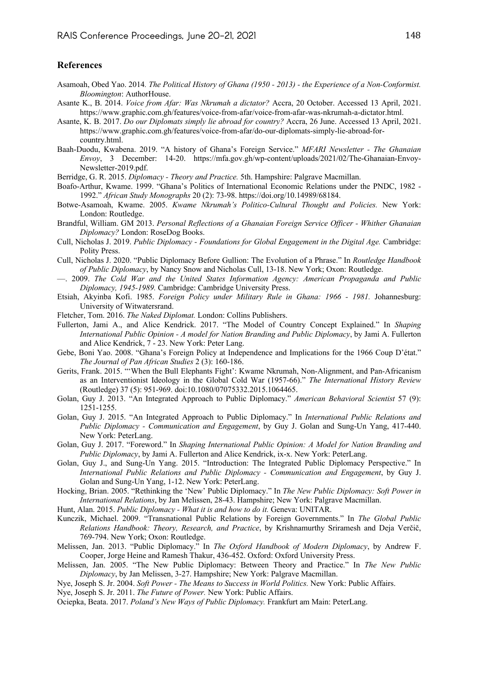#### **References**

- Asamoah, Obed Yao. 2014*. The Political History of Ghana (1950 2013) the Experience of a Non-Conformist. Bloomington*: AuthorHouse.
- Asante K., B. 2014. *Voice from Afar: Was Nkrumah a dictator?* Accra, 20 October. Accessed 13 April, 2021. https://www.graphic.com.gh/features/voice-from-afar/voice-from-afar-was-nkrumah-a-dictator.html.
- Asante, K. B. 2017. *Do our Diplomats simply lie abroad for country?* Accra, 26 June. Accessed 13 April, 2021. https://www.graphic.com.gh/features/voice-from-afar/do-our-diplomats-simply-lie-abroad-forcountry.html.
- Baah-Duodu, Kwabena. 2019. "A history of Ghana's Foreign Service." *MFARI Newsletter The Ghanaian Envoy*, 3 December: 14-20. https://mfa.gov.gh/wp-content/uploads/2021/02/The-Ghanaian-Envoy-Newsletter-2019.pdf.
- Berridge, G. R. 2015. *Diplomacy Theory and Practice.* 5th. Hampshire: Palgrave Macmillan.
- Boafo-Arthur, Kwame. 1999. "Ghana's Politics of International Economic Relations under the PNDC, 1982 1992." *African Study Monographs* 20 (2): 73-98. https://doi.org/10.14989/68184.
- Botwe-Asamoah, Kwame. 2005. *Kwame Nkrumah's Politico-Cultural Thought and Policies.* New York: London: Routledge.
- Brandful, William. GM 2013. *Personal Reflections of a Ghanaian Foreign Service Officer Whither Ghanaian Diplomacy?* London: RoseDog Books.
- Cull, Nicholas J. 2019. *Public Diplomacy Foundations for Global Engagement in the Digital Age.* Cambridge: Polity Press.
- Cull, Nicholas J. 2020. "Public Diplomacy Before Gullion: The Evolution of a Phrase." In *Routledge Handbook of Public Diplomacy*, by Nancy Snow and Nicholas Cull, 13-18. New York; Oxon: Routledge.
- —. 2009. *The Cold War and the United States Information Agency: American Propaganda and Public Diplomacy, 1945-1989.* Cambridge: Cambridge University Press.
- Etsiah, Akyinba Kofi. 1985. *Foreign Policy under Military Rule in Ghana: 1966 1981.* Johannesburg: University of Witwatersrand.
- Fletcher, Tom. 2016. *The Naked Diplomat.* London: Collins Publishers.
- Fullerton, Jami A., and Alice Kendrick. 2017. "The Model of Country Concept Explained." In *Shaping International Public Opinion - A model for Nation Branding and Public Diplomacy*, by Jami A. Fullerton and Alice Kendrick, 7 - 23. New York: Peter Lang.
- Gebe, Boni Yao. 2008. "Ghana's Foreign Policy at Independence and Implications for the 1966 Coup D'état." *The Journal of Pan African Studies* 2 (3): 160-186.
- Gerits, Frank. 2015. "'When the Bull Elephants Fight': Kwame Nkrumah, Non-Alignment, and Pan-Africanism as an Interventionist Ideology in the Global Cold War (1957-66)." *The International History Review* (Routledge) 37 (5): 951-969. doi:10.1080/07075332.2015.1064465.
- Golan, Guy J. 2013. "An Integrated Approach to Public Diplomacy." *American Behavioral Scientist* 57 (9): 1251-1255.
- Golan, Guy J. 2015. "An Integrated Approach to Public Diplomacy." In *International Public Relations and Public Diplomacy - Communication and Engagement*, by Guy J. Golan and Sung-Un Yang, 417-440. New York: PeterLang.
- Golan, Guy J. 2017. "Foreword." In *Shaping International Public Opinion: A Model for Nation Branding and Public Diplomacy*, by Jami A. Fullerton and Alice Kendrick, ix-x. New York: PeterLang.
- Golan, Guy J., and Sung-Un Yang. 2015. "Introduction: The Integrated Public Diplomacy Perspective." In *International Public Relations and Public Diplomacy - Communication and Engagement*, by Guy J. Golan and Sung-Un Yang, 1-12. New York: PeterLang.
- Hocking, Brian. 2005. "Rethinking the 'New' Public Diplomacy." In *The New Public Diplomacy: Soft Power in International Relations*, by Jan Melissen, 28-43. Hampshire; New York: Palgrave Macmillan.
- Hunt, Alan. 2015. *Public Diplomacy What it is and how to do it.* Geneva: UNITAR.
- Kunczik, Michael. 2009. "Transnational Public Relations by Foreign Governments." In *The Global Public Relations Handbook: Theory, Research, and Practice*, by Krishnamurthy Sriramesh and Deja Verčič, 769-794. New York; Oxon: Routledge.
- Melissen, Jan. 2013. "Public Diplomacy." In *The Oxford Handbook of Modern Diplomacy*, by Andrew F. Cooper, Jorge Heine and Ramesh Thakur, 436-452. Oxford: Oxford University Press.
- Melissen, Jan. 2005. "The New Public Diplomacy: Between Theory and Practice." In *The New Public Diplomacy*, by Jan Melissen, 3-27. Hampshire; New York: Palgrave Macmillan.

Nye, Joseph S. Jr. 2004. *Soft Power - The Means to Success in World Politics.* New York: Public Affairs.

Nye, Joseph S. Jr. 2011. *The Future of Power.* New York: Public Affairs.

Ociepka, Beata. 2017. *Poland's New Ways of Public Diplomacy.* Frankfurt am Main: PeterLang.